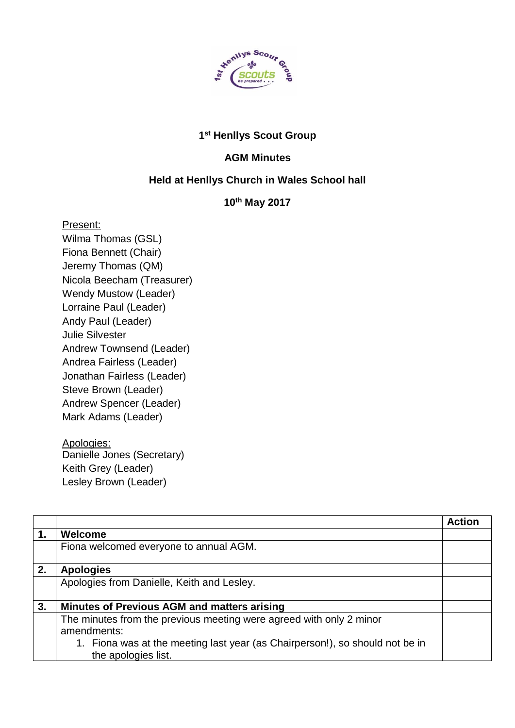

## **1 st Henllys Scout Group**

## **AGM Minutes**

## **Held at Henllys Church in Wales School hall**

## **10th May 2017**

Present:

Wilma Thomas (GSL) Fiona Bennett (Chair) Jeremy Thomas (QM) Nicola Beecham (Treasurer) Wendy Mustow (Leader) Lorraine Paul (Leader) Andy Paul (Leader) Julie Silvester Andrew Townsend (Leader) Andrea Fairless (Leader) Jonathan Fairless (Leader) Steve Brown (Leader) Andrew Spencer (Leader) Mark Adams (Leader)

Apologies: Danielle Jones (Secretary) Keith Grey (Leader) Lesley Brown (Leader)

|    |                                                                              | <b>Action</b> |
|----|------------------------------------------------------------------------------|---------------|
| 1. | <b>Welcome</b>                                                               |               |
|    | Fiona welcomed everyone to annual AGM.                                       |               |
|    |                                                                              |               |
| 2. | <b>Apologies</b>                                                             |               |
|    | Apologies from Danielle, Keith and Lesley.                                   |               |
|    |                                                                              |               |
| 3. | <b>Minutes of Previous AGM and matters arising</b>                           |               |
|    | The minutes from the previous meeting were agreed with only 2 minor          |               |
|    | amendments:                                                                  |               |
|    | 1. Fiona was at the meeting last year (as Chairperson!), so should not be in |               |
|    | the apologies list.                                                          |               |